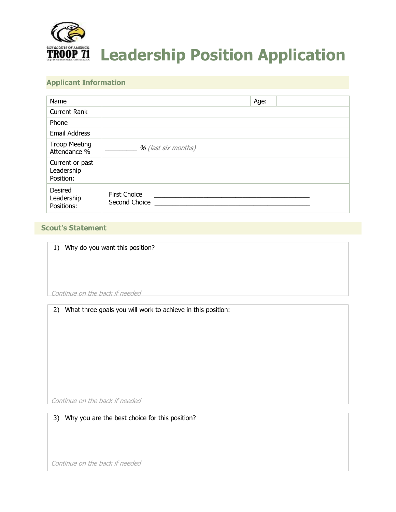

# **Applicant Information**

| Name                                       | Age:                                 |
|--------------------------------------------|--------------------------------------|
| <b>Current Rank</b>                        |                                      |
| Phone                                      |                                      |
| <b>Email Address</b>                       |                                      |
| <b>Troop Meeting</b><br>Attendance %       | % (last six months)                  |
| Current or past<br>Leadership<br>Position: |                                      |
| Desired<br>Leadership<br>Positions:        | <b>First Choice</b><br>Second Choice |

## **Scout's Statement**

|  |  |  |  |  |  | 1) Why do you want this position? |
|--|--|--|--|--|--|-----------------------------------|
|--|--|--|--|--|--|-----------------------------------|

Continue on the back if needed

2) What three goals you will work to achieve in this position:

Continue on the back if needed

3) Why you are the best choice for this position?

Continue on the back if needed